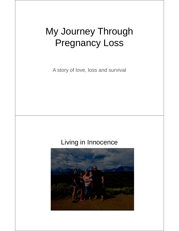# My Journey Through Pregnancy Loss

A story of love, loss and survival

## Living in Innocence

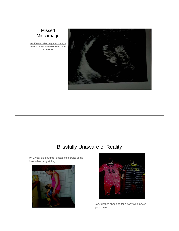#### Missed Miscarriage

**My lifeless baby, only measuring 8 weeks 3 days at the NT Scan done at 12 weeks**



## Blissfully Unaware of Reality

My 2 year old daughter ecstatic to spread some love to her baby sibling.





Baby clothes shopping for a baby we'd never get to meet.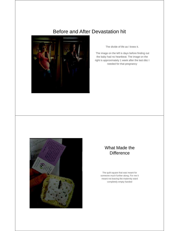### Before and After Devastation hit



The divide of life as I knew it.

The image on the left is days before finding out the baby had no heartbeat. The image on the right is approximately 1 week after the last d&c I needed for that pregnancy



#### What Made the **Difference**

The quilt square that was meant for someone much further along. For me it meant not leaving the maternity ward completely empty handed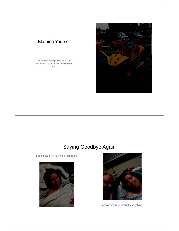#### Blaming Yourself

What went wrong? Was it the little kiddie ride I rode on with my two year old?



## Saying Goodbye Again

Feeling as if I'm reliving a nightmare





Always my rock through everything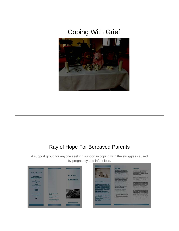# Coping With Grief



## Ray of Hope For Bereaved Parents

A support group for anyone seeking support in coping with the struggles caused by pregnancy and infant loss.



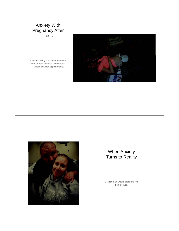#### Anxiety With Pregnancy After Loss

Listening to my son's heartbeat on a home doppler because I couldn't wait 4 weeks between appointments.





#### When Anxiety Turns to Reality

ER visit at 16 weeks pregnant, first hemmorage.